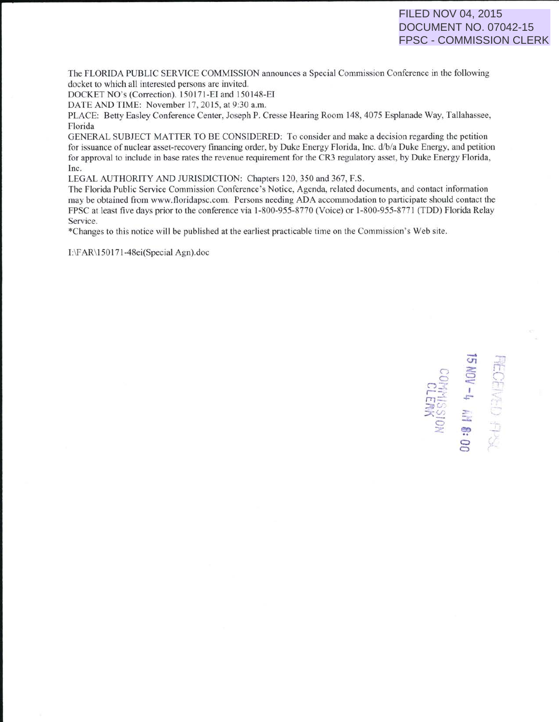# FILED NOV 04, 2015 DOCUMENT NO. 07042-15 FPSC - COMMISSION CLERK

The FLORJDA PUBLIC SERVICE COMMISSION announces a Special Commission Conference in the following docket to which all interested persons are invited.

DOCKET NO's (Correction). 150171-El and 150148-EI

DATE AND TIME: November 17, 2015, at 9:30 a.m.

PLACE: Betty Easley Conference Center, Joseph P. Cresse Hearing Room 148,4075 Esplanade Way, Tallahassee, Florida

GENERAL SUBJECT MATTER TO BE CONSIDERED: To consider and make a decision regarding the petition for issuance of nuclear asset-recovery financing order, by Duke Energy Florida, Inc. d/b/a Duke Energy, and petition for approval to include in base rates the revenue requirement for the CR3 regulatory asset, by Duke Energy Florida, Inc.

LEGAL AUTHORITY AND JURJSDICTION: Chapters 120,350 and 367, F.S.

The Florida Public Service Commission Conference's Notice, Agenda, related documents, and contact information may be obtained from www.floridapsc.com. Persons needing ADA accommodation to participate should contact the FPSC at least five days prior to the conference via 1-800-955-8770 (Voice) or 1-800-955-8771 (TDD) Florida Relay Service.

\*Changes to this notice will be published at the earliest practicable time on the Commission's Web site.

I:\FAR\150171-48ei(Special Agn).doc

**RECEIVED FISK**<br>**15 NOV -4 AM 8: 00 CLERK**<br>KOISSINADO